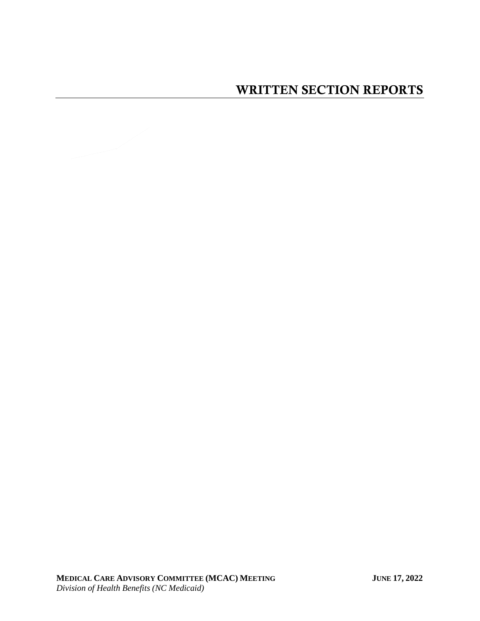# WRITTEN SECTION REPORTS

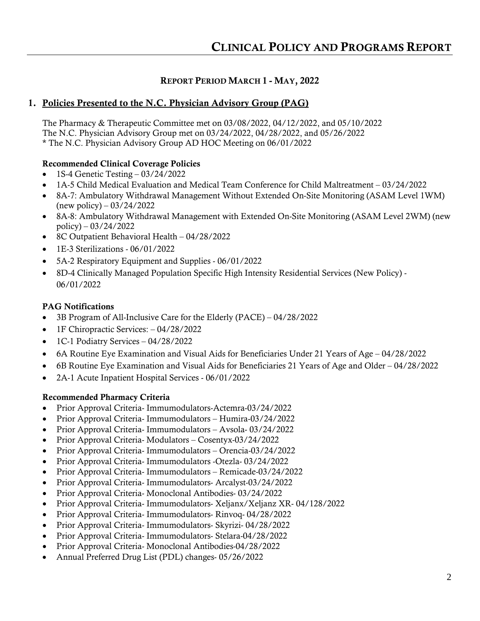# REPORT PERIOD MARCH 1 - MAY, 2022

# 1. Policies Presented to the N.C. Physician Advisory Group (PAG)

The Pharmacy & Therapeutic Committee met on 03/08/2022, 04/12/2022, and 05/10/2022 The N.C. Physician Advisory Group met on 03/24/2022, 04/28/2022, and 05/26/2022 \* The N.C. Physician Advisory Group AD HOC Meeting on 06/01/2022

## Recommended Clinical Coverage Policies

- 1S-4 Genetic Testing 03/24/2022
- 1A-5 Child Medical Evaluation and Medical Team Conference for Child Maltreatment 03/24/2022
- 8A-7: Ambulatory Withdrawal Management Without Extended On-Site Monitoring (ASAM Level 1WM) (new policy) – 03/24/2022
- 8A-8: Ambulatory Withdrawal Management with Extended On-Site Monitoring (ASAM Level 2WM) (new policy) – 03/24/2022
- 8C Outpatient Behavioral Health 04/28/2022
- 1E-3 Sterilizations 06/01/2022
- 5A-2 Respiratory Equipment and Supplies 06/01/2022
- 8D-4 Clinically Managed Population Specific High Intensity Residential Services (New Policy) 06/01/2022

## PAG Notifications

- 3B Program of All-Inclusive Care for the Elderly (PACE) 04/28/2022
- 1F Chiropractic Services:  $-04/28/2022$
- 1C-1 Podiatry Services 04/28/2022
- 6A Routine Eye Examination and Visual Aids for Beneficiaries Under 21 Years of Age 04/28/2022
- 6B Routine Eye Examination and Visual Aids for Beneficiaries 21 Years of Age and Older 04/28/2022
- 2A-1 Acute Inpatient Hospital Services 06/01/2022

#### Recommended Pharmacy Criteria

- Prior Approval Criteria- Immumodulators-Actemra-03/24/2022
- Prior Approval Criteria- Immumodulators Humira-03/24/2022
- Prior Approval Criteria- Immumodulators Avsola- 03/24/2022
- Prior Approval Criteria- Modulators Cosentyx-03/24/2022
- Prior Approval Criteria- Immumodulators Orencia-03/24/2022
- Prior Approval Criteria- Immumodulators -Otezla- 03/24/2022
- Prior Approval Criteria- Immumodulators Remicade-03/24/2022
- Prior Approval Criteria- Immumodulators- Arcalyst-03/24/2022
- Prior Approval Criteria- Monoclonal Antibodies- 03/24/2022
- Prior Approval Criteria- Immumodulators- Xeljanx/Xeljanz XR- 04/128/2022
- Prior Approval Criteria- Immumodulators- Rinvoq- 04/28/2022
- Prior Approval Criteria- Immumodulators- Skyrizi- 04/28/2022
- Prior Approval Criteria- Immumodulators- Stelara-04/28/2022
- Prior Approval Criteria- Monoclonal Antibodies-04/28/2022
- Annual Preferred Drug List (PDL) changes- 05/26/2022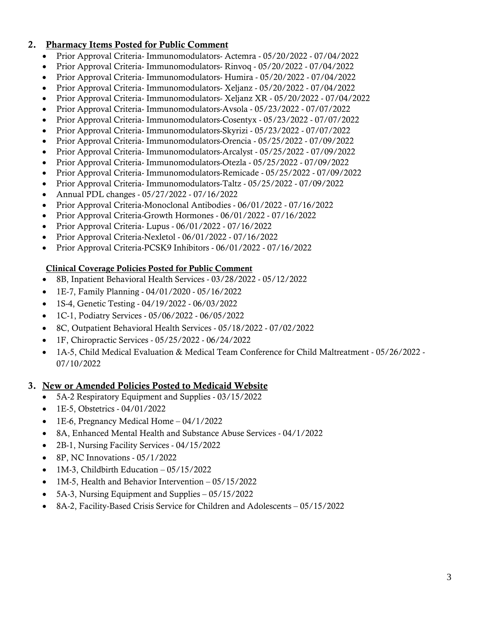## 2. Pharmacy Items Posted for Public Comment

- Prior Approval Criteria- Immunomodulators- Actemra 05/20/2022 07/04/2022
- Prior Approval Criteria- Immunomodulators- Rinvoq 05/20/2022 07/04/2022
- Prior Approval Criteria- Immunomodulators- Humira 05/20/2022 07/04/2022
- Prior Approval Criteria- Immunomodulators- Xeljanz 05/20/2022 07/04/2022
- Prior Approval Criteria- Immunomodulators- Xeljanz XR 05/20/2022 07/04/2022
- Prior Approval Criteria- Immunomodulators-Avsola 05/23/2022 07/07/2022
- Prior Approval Criteria- Immunomodulators-Cosentyx 05/23/2022 07/07/2022
- Prior Approval Criteria- Immunomodulators-Skyrizi 05/23/2022 07/07/2022
- Prior Approval Criteria- Immunomodulators-Orencia 05/25/2022 07/09/2022
- Prior Approval Criteria- Immunomodulators-Arcalyst 05/25/2022 07/09/2022
- Prior Approval Criteria- Immunomodulators-Otezla 05/25/2022 07/09/2022
- Prior Approval Criteria- Immunomodulators-Remicade 05/25/2022 07/09/2022
- Prior Approval Criteria- Immunomodulators-Taltz 05/25/2022 07/09/2022
- Annual PDL changes 05/27/2022 07/16/2022
- Prior Approval Criteria-Monoclonal Antibodies 06/01/2022 07/16/2022
- Prior Approval Criteria-Growth Hormones 06/01/2022 07/16/2022
- Prior Approval Criteria- Lupus 06/01/2022 07/16/2022
- Prior Approval Criteria-Nexletol 06/01/2022 07/16/2022
- Prior Approval Criteria-PCSK9 Inhibitors 06/01/2022 07/16/2022

## Clinical Coverage Policies Posted for Public Comment

- 8B, Inpatient Behavioral Health Services 03/28/2022 05/12/2022
- 1E-7, Family Planning 04/01/2020 05/16/2022
- 1S-4, Genetic Testing 04/19/2022 06/03/2022
- 1C-1, Podiatry Services 05/06/2022 06/05/2022
- 8C, Outpatient Behavioral Health Services 05/18/2022 07/02/2022
- 1F, Chiropractic Services 05/25/2022 06/24/2022
- 1A-5, Child Medical Evaluation & Medical Team Conference for Child Maltreatment 05/26/2022 07/10/2022

## 3. New or Amended Policies Posted to Medicaid Website

- 5A-2 Respiratory Equipment and Supplies 03/15/2022
- 1E-5, Obstetrics 04/01/2022
- 1E-6, Pregnancy Medical Home 04/1/2022
- 8A, Enhanced Mental Health and Substance Abuse Services 04/1/2022
- 2B-1, Nursing Facility Services 04/15/2022
- $\bullet$  8P, NC Innovations 05/1/2022
- 1M-3, Childbirth Education  $-05/15/2022$
- 1M-5, Health and Behavior Intervention 05/15/2022
- 5A-3, Nursing Equipment and Supplies 05/15/2022
- 8A-2, Facility-Based Crisis Service for Children and Adolescents 05/15/2022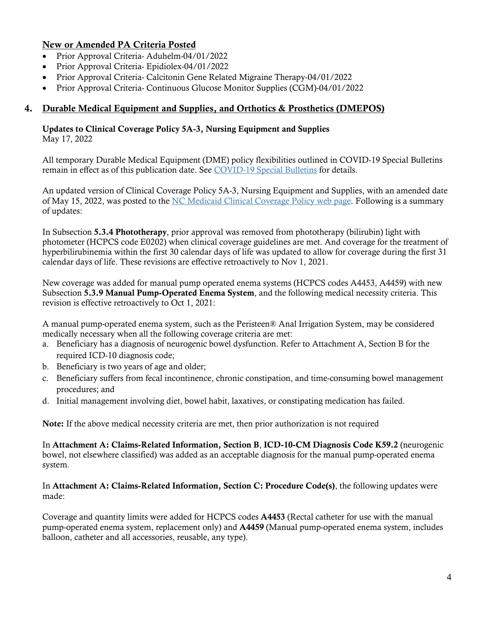## New or Amended PA Criteria Posted

- Prior Approval Criteria- Aduhelm-04/01/2022
- Prior Approval Criteria- Epidiolex-04/01/2022
- Prior Approval Criteria- Calcitonin Gene Related Migraine Therapy-04/01/2022
- Prior Approval Criteria- Continuous Glucose Monitor Supplies (CGM)-04/01/2022

## 4. Durable Medical Equipment and Supplies, and Orthotics & Prosthetics (DMEPOS)

#### Updates to Clinical Coverage Policy 5A-3, Nursing Equipment and Supplies May 17, 2022

All temporary Durable Medical Equipment (DME) policy flexibilities outlined in COVID-19 Special Bulletins remain in effect as of this publication date. See [COVID-19 Special Bulletins](https://medicaid.ncdhhs.gov/about-us/covid-19-guidance-and-resources/providers/covid-19-special-medicaid-bulletins) for details.

An updated version of Clinical Coverage Policy 5A-3, Nursing Equipment and Supplies, with an amended date of May 15, 2022, was posted to the [NC Medicaid Clinical Coverage Policy web page.](https://medicaid.ncdhhs.gov/providers/clinical-coverage-policies) Following is a summary of updates:

In Subsection 5.3.4 Phototherapy, prior approval was removed from phototherapy (bilirubin) light with photometer (HCPCS code E0202) when clinical coverage guidelines are met. And coverage for the treatment of hyperbilirubinemia within the first 30 calendar days of life was updated to allow for coverage during the first 31 calendar days of life. These revisions are effective retroactively to Nov 1, 2021.

New coverage was added for manual pump operated enema systems (HCPCS codes A4453, A4459) with new Subsection 5.3.9 Manual Pump-Operated Enema System, and the following medical necessity criteria. This revision is effective retroactively to Oct 1, 2021:

A manual pump-operated enema system, such as the Peristeen® Anal Irrigation System, may be considered medically necessary when all the following coverage criteria are met:

- a. Beneficiary has a diagnosis of neurogenic bowel dysfunction. Refer to Attachment A, Section B for the required ICD-10 diagnosis code;
- b. Beneficiary is two years of age and older;
- c. Beneficiary suffers from fecal incontinence, chronic constipation, and time-consuming bowel management procedures; and
- d. Initial management involving diet, bowel habit, laxatives, or constipating medication has failed.

Note: If the above medical necessity criteria are met, then prior authorization is not required

In Attachment A: Claims-Related Information, Section B, ICD-10-CM Diagnosis Code K59.2 (neurogenic bowel, not elsewhere classified) was added as an acceptable diagnosis for the manual pump-operated enema system.

#### In Attachment A: Claims-Related Information, Section C: Procedure Code(s), the following updates were made:

Coverage and quantity limits were added for HCPCS codes A4453 (Rectal catheter for use with the manual pump-operated enema system, replacement only) and A4459 (Manual pump-operated enema system, includes balloon, catheter and all accessories, reusable, any type).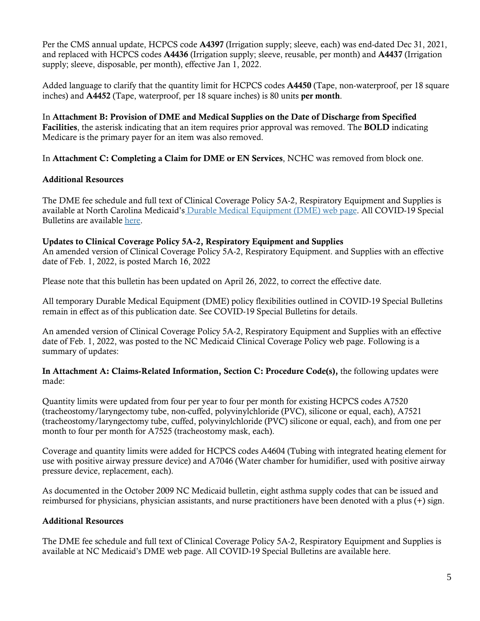Per the CMS annual update, HCPCS code A4397 (Irrigation supply; sleeve, each) was end-dated Dec 31, 2021, and replaced with HCPCS codes A4436 (Irrigation supply; sleeve, reusable, per month) and A4437 (Irrigation supply; sleeve, disposable, per month), effective Jan 1, 2022.

Added language to clarify that the quantity limit for HCPCS codes A4450 (Tape, non-waterproof, per 18 square inches) and A4452 (Tape, waterproof, per 18 square inches) is 80 units per month.

In Attachment B: Provision of DME and Medical Supplies on the Date of Discharge from Specified Facilities, the asterisk indicating that an item requires prior approval was removed. The BOLD indicating Medicare is the primary payer for an item was also removed.

In Attachment C: Completing a Claim for DME or EN Services, NCHC was removed from block one.

## Additional Resources

The DME fee schedule and full text of Clinical Coverage Policy 5A-2, Respiratory Equipment and Supplies is available at North Carolina Medicaid's [Durable Medical Equipment \(DME\) web page.](https://medicaid.ncdhhs.gov/providers/programs-services/medical/durable-medical-equipment) All COVID-19 Special Bulletins are available [here.](https://medicaid.ncdhhs.gov/about-us/covid-19-guidance-and-resources/providers/covid-19-special-medicaid-bulletins)

#### Updates to Clinical Coverage Policy 5A-2, Respiratory Equipment and Supplies

An amended version of Clinical Coverage Policy 5A-2, Respiratory Equipment. and Supplies with an effective date of Feb. 1, 2022, is posted March 16, 2022

Please note that this bulletin has been updated on April 26, 2022, to correct the effective date.

All temporary Durable Medical Equipment (DME) policy flexibilities outlined in COVID-19 Special Bulletins remain in effect as of this publication date. See COVID-19 Special Bulletins for details.

An amended version of Clinical Coverage Policy 5A-2, Respiratory Equipment and Supplies with an effective date of Feb. 1, 2022, was posted to the NC Medicaid Clinical Coverage Policy web page. Following is a summary of updates:

In Attachment A: Claims-Related Information, Section C: Procedure Code(s), the following updates were made:

Quantity limits were updated from four per year to four per month for existing HCPCS codes A7520 (tracheostomy/laryngectomy tube, non-cuffed, polyvinylchloride (PVC), silicone or equal, each), A7521 (tracheostomy/laryngectomy tube, cuffed, polyvinylchloride (PVC) silicone or equal, each), and from one per month to four per month for A7525 (tracheostomy mask, each).

Coverage and quantity limits were added for HCPCS codes A4604 (Tubing with integrated heating element for use with positive airway pressure device) and A7046 (Water chamber for humidifier, used with positive airway pressure device, replacement, each).

As documented in the October 2009 NC Medicaid bulletin, eight asthma supply codes that can be issued and reimbursed for physicians, physician assistants, and nurse practitioners have been denoted with a plus (+) sign.

## Additional Resources

The DME fee schedule and full text of Clinical Coverage Policy 5A-2, Respiratory Equipment and Supplies is available at NC Medicaid's DME web page. All COVID-19 Special Bulletins are available here.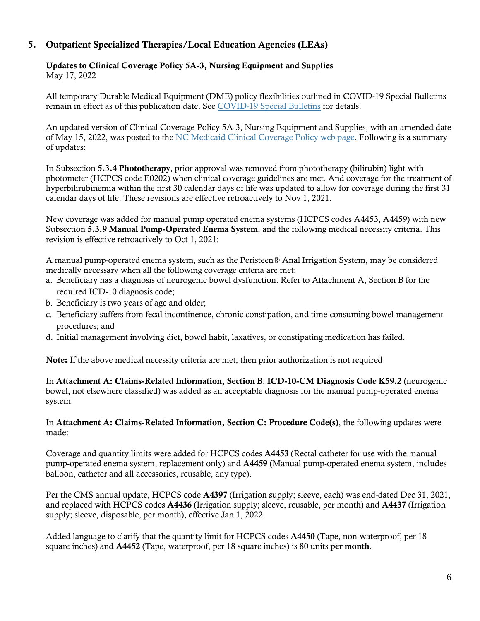# 5. Outpatient Specialized Therapies/Local Education Agencies (LEAs)

#### Updates to Clinical Coverage Policy 5A-3, Nursing Equipment and Supplies May 17, 2022

All temporary Durable Medical Equipment (DME) policy flexibilities outlined in COVID-19 Special Bulletins remain in effect as of this publication date. See [COVID-19 Special Bulletins](https://medicaid.ncdhhs.gov/about-us/covid-19-guidance-and-resources/providers/covid-19-special-medicaid-bulletins) for details.

An updated version of Clinical Coverage Policy 5A-3, Nursing Equipment and Supplies, with an amended date of May 15, 2022, was posted to the [NC Medicaid Clinical Coverage Policy web page.](https://medicaid.ncdhhs.gov/providers/clinical-coverage-policies) Following is a summary of updates:

In Subsection 5.3.4 Phototherapy, prior approval was removed from phototherapy (bilirubin) light with photometer (HCPCS code E0202) when clinical coverage guidelines are met. And coverage for the treatment of hyperbilirubinemia within the first 30 calendar days of life was updated to allow for coverage during the first 31 calendar days of life. These revisions are effective retroactively to Nov 1, 2021.

New coverage was added for manual pump operated enema systems (HCPCS codes A4453, A4459) with new Subsection 5.3.9 Manual Pump-Operated Enema System, and the following medical necessity criteria. This revision is effective retroactively to Oct 1, 2021:

A manual pump-operated enema system, such as the Peristeen® Anal Irrigation System, may be considered medically necessary when all the following coverage criteria are met:

- a. Beneficiary has a diagnosis of neurogenic bowel dysfunction. Refer to Attachment A, Section B for the required ICD-10 diagnosis code;
- b. Beneficiary is two years of age and older;
- c. Beneficiary suffers from fecal incontinence, chronic constipation, and time-consuming bowel management procedures; and
- d. Initial management involving diet, bowel habit, laxatives, or constipating medication has failed.

Note: If the above medical necessity criteria are met, then prior authorization is not required

In Attachment A: Claims-Related Information, Section B, ICD-10-CM Diagnosis Code K59.2 (neurogenic bowel, not elsewhere classified) was added as an acceptable diagnosis for the manual pump-operated enema system.

In Attachment A: Claims-Related Information, Section C: Procedure Code(s), the following updates were made:

Coverage and quantity limits were added for HCPCS codes A4453 (Rectal catheter for use with the manual pump-operated enema system, replacement only) and A4459 (Manual pump-operated enema system, includes balloon, catheter and all accessories, reusable, any type).

Per the CMS annual update, HCPCS code A4397 (Irrigation supply; sleeve, each) was end-dated Dec 31, 2021, and replaced with HCPCS codes A4436 (Irrigation supply; sleeve, reusable, per month) and A4437 (Irrigation supply; sleeve, disposable, per month), effective Jan 1, 2022.

Added language to clarify that the quantity limit for HCPCS codes A4450 (Tape, non-waterproof, per 18 square inches) and A4452 (Tape, waterproof, per 18 square inches) is 80 units per month.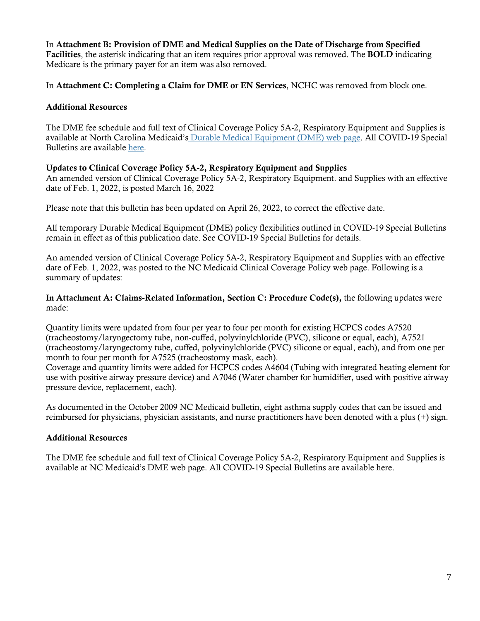In Attachment B: Provision of DME and Medical Supplies on the Date of Discharge from Specified Facilities, the asterisk indicating that an item requires prior approval was removed. The BOLD indicating Medicare is the primary payer for an item was also removed.

In Attachment C: Completing a Claim for DME or EN Services, NCHC was removed from block one.

#### Additional Resources

The DME fee schedule and full text of Clinical Coverage Policy 5A-2, Respiratory Equipment and Supplies is available at North Carolina Medicaid's [Durable Medical Equipment \(DME\) web page.](https://medicaid.ncdhhs.gov/providers/programs-services/medical/durable-medical-equipment) All COVID-19 Special Bulletins are available [here.](https://medicaid.ncdhhs.gov/about-us/covid-19-guidance-and-resources/providers/covid-19-special-medicaid-bulletins)

## Updates to Clinical Coverage Policy 5A-2, Respiratory Equipment and Supplies

An amended version of Clinical Coverage Policy 5A-2, Respiratory Equipment. and Supplies with an effective date of Feb. 1, 2022, is posted March 16, 2022

Please note that this bulletin has been updated on April 26, 2022, to correct the effective date.

All temporary Durable Medical Equipment (DME) policy flexibilities outlined in COVID-19 Special Bulletins remain in effect as of this publication date. See COVID-19 Special Bulletins for details.

An amended version of Clinical Coverage Policy 5A-2, Respiratory Equipment and Supplies with an effective date of Feb. 1, 2022, was posted to the NC Medicaid Clinical Coverage Policy web page. Following is a summary of updates:

In Attachment A: Claims-Related Information, Section C: Procedure Code(s), the following updates were made:

Quantity limits were updated from four per year to four per month for existing HCPCS codes A7520 (tracheostomy/laryngectomy tube, non-cuffed, polyvinylchloride (PVC), silicone or equal, each), A7521 (tracheostomy/laryngectomy tube, cuffed, polyvinylchloride (PVC) silicone or equal, each), and from one per month to four per month for A7525 (tracheostomy mask, each).

Coverage and quantity limits were added for HCPCS codes A4604 (Tubing with integrated heating element for use with positive airway pressure device) and A7046 (Water chamber for humidifier, used with positive airway pressure device, replacement, each).

As documented in the October 2009 NC Medicaid bulletin, eight asthma supply codes that can be issued and reimbursed for physicians, physician assistants, and nurse practitioners have been denoted with a plus (+) sign.

## Additional Resources

The DME fee schedule and full text of Clinical Coverage Policy 5A-2, Respiratory Equipment and Supplies is available at NC Medicaid's DME web page. All COVID-19 Special Bulletins are available here.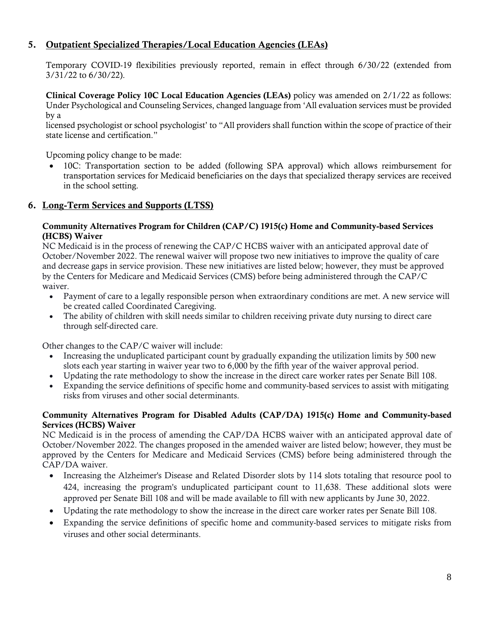# 5. Outpatient Specialized Therapies/Local Education Agencies (LEAs)

Temporary COVID-19 flexibilities previously reported, remain in effect through 6/30/22 (extended from 3/31/22 to 6/30/22).

Clinical Coverage Policy 10C Local Education Agencies (LEAs) policy was amended on 2/1/22 as follows: Under Psychological and Counseling Services, changed language from 'All evaluation services must be provided by a

licensed psychologist or school psychologist' to "All providers shall function within the scope of practice of their state license and certification."

Upcoming policy change to be made:

• 10C: Transportation section to be added (following SPA approval) which allows reimbursement for transportation services for Medicaid beneficiaries on the days that specialized therapy services are received in the school setting.

# 6. Long-Term Services and Supports (LTSS)

#### Community Alternatives Program for Children (CAP/C) 1915(c) Home and Community-based Services (HCBS) Waiver

NC Medicaid is in the process of renewing the CAP/C HCBS waiver with an anticipated approval date of October/November 2022. The renewal waiver will propose two new initiatives to improve the quality of care and decrease gaps in service provision. These new initiatives are listed below; however, they must be approved by the Centers for Medicare and Medicaid Services (CMS) before being administered through the CAP/C waiver.

- Payment of care to a legally responsible person when extraordinary conditions are met. A new service will be created called Coordinated Caregiving.
- The ability of children with skill needs similar to children receiving private duty nursing to direct care through self-directed care.

Other changes to the CAP/C waiver will include:

- Increasing the unduplicated participant count by gradually expanding the utilization limits by 500 new slots each year starting in waiver year two to 6,000 by the fifth year of the waiver approval period.
- Updating the rate methodology to show the increase in the direct care worker rates per Senate Bill 108.
- Expanding the service definitions of specific home and community-based services to assist with mitigating risks from viruses and other social determinants.

## Community Alternatives Program for Disabled Adults (CAP/DA) 1915(c) Home and Community-based Services (HCBS) Waiver

NC Medicaid is in the process of amending the CAP/DA HCBS waiver with an anticipated approval date of October/November 2022. The changes proposed in the amended waiver are listed below; however, they must be approved by the Centers for Medicare and Medicaid Services (CMS) before being administered through the CAP/DA waiver.

- Increasing the Alzheimer's Disease and Related Disorder slots by 114 slots totaling that resource pool to 424, increasing the program's unduplicated participant count to 11,638. These additional slots were approved per Senate Bill 108 and will be made available to fill with new applicants by June 30, 2022.
- Updating the rate methodology to show the increase in the direct care worker rates per Senate Bill 108.
- Expanding the service definitions of specific home and community-based services to mitigate risks from viruses and other social determinants.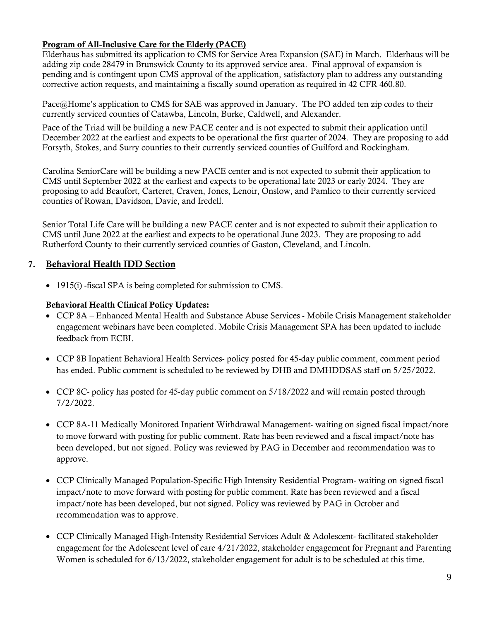## Program of All-Inclusive Care for the Elderly (PACE)

Elderhaus has submitted its application to CMS for Service Area Expansion (SAE) in March. Elderhaus will be adding zip code 28479 in Brunswick County to its approved service area. Final approval of expansion is pending and is contingent upon CMS approval of the application, satisfactory plan to address any outstanding corrective action requests, and maintaining a fiscally sound operation as required in 42 CFR 460.80.

Pace@Home's application to CMS for SAE was approved in January. The PO added ten zip codes to their currently serviced counties of Catawba, Lincoln, Burke, Caldwell, and Alexander.

Pace of the Triad will be building a new PACE center and is not expected to submit their application until December 2022 at the earliest and expects to be operational the first quarter of 2024. They are proposing to add Forsyth, Stokes, and Surry counties to their currently serviced counties of Guilford and Rockingham.

Carolina SeniorCare will be building a new PACE center and is not expected to submit their application to CMS until September 2022 at the earliest and expects to be operational late 2023 or early 2024. They are proposing to add Beaufort, Carteret, Craven, Jones, Lenoir, Onslow, and Pamlico to their currently serviced counties of Rowan, Davidson, Davie, and Iredell.

Senior Total Life Care will be building a new PACE center and is not expected to submit their application to CMS until June 2022 at the earliest and expects to be operational June 2023. They are proposing to add Rutherford County to their currently serviced counties of Gaston, Cleveland, and Lincoln.

## 7. Behavioral Health IDD Section

• 1915(i) -fiscal SPA is being completed for submission to CMS.

#### Behavioral Health Clinical Policy Updates:

- CCP 8A Enhanced Mental Health and Substance Abuse Services Mobile Crisis Management stakeholder engagement webinars have been completed. Mobile Crisis Management SPA has been updated to include feedback from ECBI.
- CCP 8B Inpatient Behavioral Health Services- policy posted for 45-day public comment, comment period has ended. Public comment is scheduled to be reviewed by DHB and DMHDDSAS staff on 5/25/2022.
- CCP 8C- policy has posted for 45-day public comment on  $5/18/2022$  and will remain posted through 7/2/2022.
- CCP 8A-11 Medically Monitored Inpatient Withdrawal Management- waiting on signed fiscal impact/note to move forward with posting for public comment. Rate has been reviewed and a fiscal impact/note has been developed, but not signed. Policy was reviewed by PAG in December and recommendation was to approve.
- CCP Clinically Managed Population-Specific High Intensity Residential Program- waiting on signed fiscal impact/note to move forward with posting for public comment. Rate has been reviewed and a fiscal impact/note has been developed, but not signed. Policy was reviewed by PAG in October and recommendation was to approve.
- CCP Clinically Managed High-Intensity Residential Services Adult & Adolescent- facilitated stakeholder engagement for the Adolescent level of care 4/21/2022, stakeholder engagement for Pregnant and Parenting Women is scheduled for 6/13/2022, stakeholder engagement for adult is to be scheduled at this time.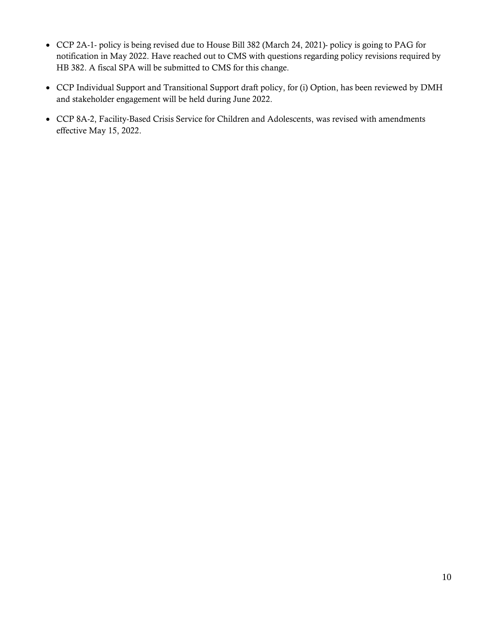- CCP 2A-1- policy is being revised due to House Bill 382 (March 24, 2021)- policy is going to PAG for notification in May 2022. Have reached out to CMS with questions regarding policy revisions required by HB 382. A fiscal SPA will be submitted to CMS for this change.
- CCP Individual Support and Transitional Support draft policy, for (i) Option, has been reviewed by DMH and stakeholder engagement will be held during June 2022.
- CCP 8A-2, Facility-Based Crisis Service for Children and Adolescents, was revised with amendments effective May 15, 2022.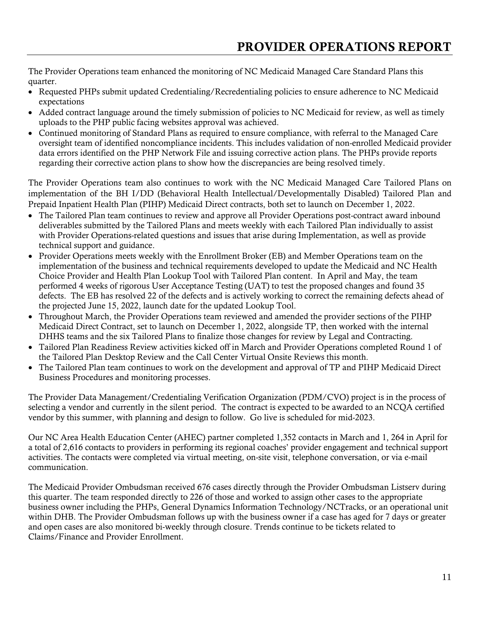The Provider Operations team enhanced the monitoring of NC Medicaid Managed Care Standard Plans this quarter.

- Requested PHPs submit updated Credentialing/Recredentialing policies to ensure adherence to NC Medicaid expectations
- Added contract language around the timely submission of policies to NC Medicaid for review, as well as timely uploads to the PHP public facing websites approval was achieved.
- Continued monitoring of Standard Plans as required to ensure compliance, with referral to the Managed Care oversight team of identified noncompliance incidents. This includes validation of non-enrolled Medicaid provider data errors identified on the PHP Network File and issuing corrective action plans. The PHPs provide reports regarding their corrective action plans to show how the discrepancies are being resolved timely.

The Provider Operations team also continues to work with the NC Medicaid Managed Care Tailored Plans on implementation of the BH I/DD (Behavioral Health Intellectual/Developmentally Disabled) Tailored Plan and Prepaid Inpatient Health Plan (PIHP) Medicaid Direct contracts, both set to launch on December 1, 2022.

- The Tailored Plan team continues to review and approve all Provider Operations post-contract award inbound deliverables submitted by the Tailored Plans and meets weekly with each Tailored Plan individually to assist with Provider Operations-related questions and issues that arise during Implementation, as well as provide technical support and guidance.
- Provider Operations meets weekly with the Enrollment Broker (EB) and Member Operations team on the implementation of the business and technical requirements developed to update the Medicaid and NC Health Choice Provider and Health Plan Lookup Tool with Tailored Plan content. In April and May, the team performed 4 weeks of rigorous User Acceptance Testing (UAT) to test the proposed changes and found 35 defects. The EB has resolved 22 of the defects and is actively working to correct the remaining defects ahead of the projected June 15, 2022, launch date for the updated Lookup Tool.
- Throughout March, the Provider Operations team reviewed and amended the provider sections of the PIHP Medicaid Direct Contract, set to launch on December 1, 2022, alongside TP, then worked with the internal DHHS teams and the six Tailored Plans to finalize those changes for review by Legal and Contracting.
- Tailored Plan Readiness Review activities kicked off in March and Provider Operations completed Round 1 of the Tailored Plan Desktop Review and the Call Center Virtual Onsite Reviews this month.
- The Tailored Plan team continues to work on the development and approval of TP and PIHP Medicaid Direct Business Procedures and monitoring processes.

The Provider Data Management/Credentialing Verification Organization (PDM/CVO) project is in the process of selecting a vendor and currently in the silent period. The contract is expected to be awarded to an NCQA certified vendor by this summer, with planning and design to follow. Go live is scheduled for mid-2023.

Our NC Area Health Education Center (AHEC) partner completed 1,352 contacts in March and 1, 264 in April for a total of 2,616 contacts to providers in performing its regional coaches' provider engagement and technical support activities. The contacts were completed via virtual meeting, on-site visit, telephone conversation, or via e-mail communication.

The Medicaid Provider Ombudsman received 676 cases directly through the Provider Ombudsman Listserv during this quarter. The team responded directly to 226 of those and worked to assign other cases to the appropriate business owner including the PHPs, General Dynamics Information Technology/NCTracks, or an operational unit within DHB. The Provider Ombudsman follows up with the business owner if a case has aged for 7 days or greater and open cases are also monitored bi-weekly through closure. Trends continue to be tickets related to Claims/Finance and Provider Enrollment.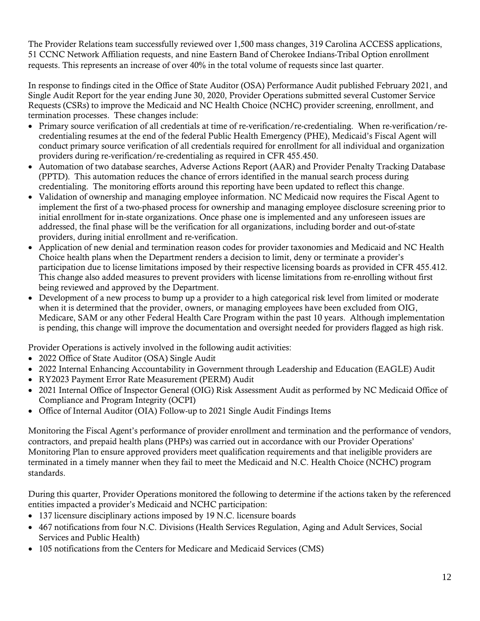The Provider Relations team successfully reviewed over 1,500 mass changes, 319 Carolina ACCESS applications, 51 CCNC Network Affiliation requests, and nine Eastern Band of Cherokee Indians-Tribal Option enrollment requests. This represents an increase of over 40% in the total volume of requests since last quarter.

In response to findings cited in the Office of State Auditor (OSA) Performance Audit published February 2021, and Single Audit Report for the year ending June 30, 2020, Provider Operations submitted several Customer Service Requests (CSRs) to improve the Medicaid and NC Health Choice (NCHC) provider screening, enrollment, and termination processes. These changes include:

- Primary source verification of all credentials at time of re-verification/re-credentialing. When re-verification/recredentialing resumes at the end of the federal Public Health Emergency (PHE), Medicaid's Fiscal Agent will conduct primary source verification of all credentials required for enrollment for all individual and organization providers during re-verification/re-credentialing as required in CFR 455.450.
- Automation of two database searches, Adverse Actions Report (AAR) and Provider Penalty Tracking Database (PPTD). This automation reduces the chance of errors identified in the manual search process during credentialing. The monitoring efforts around this reporting have been updated to reflect this change.
- Validation of ownership and managing employee information. NC Medicaid now requires the Fiscal Agent to implement the first of a two-phased process for ownership and managing employee disclosure screening prior to initial enrollment for in-state organizations. Once phase one is implemented and any unforeseen issues are addressed, the final phase will be the verification for all organizations, including border and out-of-state providers, during initial enrollment and re-verification.
- Application of new denial and termination reason codes for provider taxonomies and Medicaid and NC Health Choice health plans when the Department renders a decision to limit, deny or terminate a provider's participation due to license limitations imposed by their respective licensing boards as provided in CFR 455.412. This change also added measures to prevent providers with license limitations from re-enrolling without first being reviewed and approved by the Department.
- Development of a new process to bump up a provider to a high categorical risk level from limited or moderate when it is determined that the provider, owners, or managing employees have been excluded from OIG, Medicare, SAM or any other Federal Health Care Program within the past 10 years. Although implementation is pending, this change will improve the documentation and oversight needed for providers flagged as high risk.

Provider Operations is actively involved in the following audit activities:

- 2022 Office of State Auditor (OSA) Single Audit
- 2022 Internal Enhancing Accountability in Government through Leadership and Education (EAGLE) Audit
- RY2023 Payment Error Rate Measurement (PERM) Audit
- 2021 Internal Office of Inspector General (OIG) Risk Assessment Audit as performed by NC Medicaid Office of Compliance and Program Integrity (OCPI)
- Office of Internal Auditor (OIA) Follow-up to 2021 Single Audit Findings Items

Monitoring the Fiscal Agent's performance of provider enrollment and termination and the performance of vendors, contractors, and prepaid health plans (PHPs) was carried out in accordance with our Provider Operations' Monitoring Plan to ensure approved providers meet qualification requirements and that ineligible providers are terminated in a timely manner when they fail to meet the Medicaid and N.C. Health Choice (NCHC) program standards.

During this quarter, Provider Operations monitored the following to determine if the actions taken by the referenced entities impacted a provider's Medicaid and NCHC participation:

- 137 licensure disciplinary actions imposed by 19 N.C. licensure boards
- 467 notifications from four N.C. Divisions (Health Services Regulation, Aging and Adult Services, Social Services and Public Health)
- 105 notifications from the Centers for Medicare and Medicaid Services (CMS)